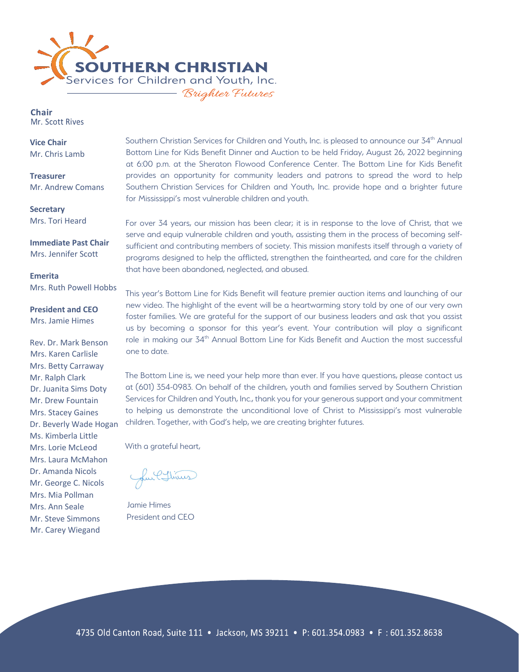

Chair Mr. Scott Rives

**Vice Chair** Mr. Chris Lamb

**Treasurer** Mr. Andrew Comans

**Secretary** Mrs. Tori Heard

**Immediate Past Chair**  Mrs. Jennifer Scott

**Emerita** Mrs. Ruth Powell Hobbs

**President and CEO**  Mrs. Jamie Himes

Rev. Dr. Mark Benson Mrs. Karen Carlisle Mrs. Betty Carraway Mr. Ralph Clark Dr. Juanita Sims Doty Mr. Drew Fountain Mrs. Stacey Gaines Dr. Beverly Wade Hogan Ms. Kimberla Little Mrs. Lorie McLeod Mrs. Laura McMahon Dr. Amanda Nicols Mr. George C. Nicols Mrs. Mia Pollman Mrs. Ann Seale Mr. Steve Simmons Mr. Carey Wiegand

Southern Christian Services for Children and Youth, Inc. is pleased to announce our 34<sup>th</sup> Annual Bottom Line for Kids Benefit Dinner and Auction to be held Friday, August 26, 2022 beginning at 6:00 p.m. at the Sheraton Flowood Conference Center. The Bottom Line for Kids Benefit provides an opportunity for community leaders and patrons to spread the word to help Southern Christian Services for Children and Youth, Inc. provide hope and a brighter future for Mississippi's most vulnerable children and youth.

For over 34 years, our mission has been clear; it is in response to the love of Christ, that we serve and equip vulnerable children and youth, assisting them in the process of becoming selfsufficient and contributing members of society. This mission manifests itself through a variety of programs designed to help the afflicted, strengthen the fainthearted, and care for the children that have been abandoned, neglected, and abused.

This year's Bottom Line for Kids Benefit will feature premier auction items and launching of our new video. The highlight of the event will be a heartwarming story told by one of our very own foster families. We are grateful for the support of our business leaders and ask that you assist us by becoming a sponsor for this year's event. Your contribution will play a significant role in making our 34th Annual Bottom Line for Kids Benefit and Auction the most successful one to date.

The Bottom Line is, we need your help more than ever. If you have questions, please contact us at (601) 354-0983. On behalf of the children, youth and families served by Southern Christian Services for Children and Youth, Inc., thank you for your generous support and your commitment to helping us demonstrate the unconditional love of Christ to Mississippi's most vulnerable children. Together, with God's help, we are creating brighter futures.

With a grateful heart,

Lui Chines

Jamie Himes President and CEO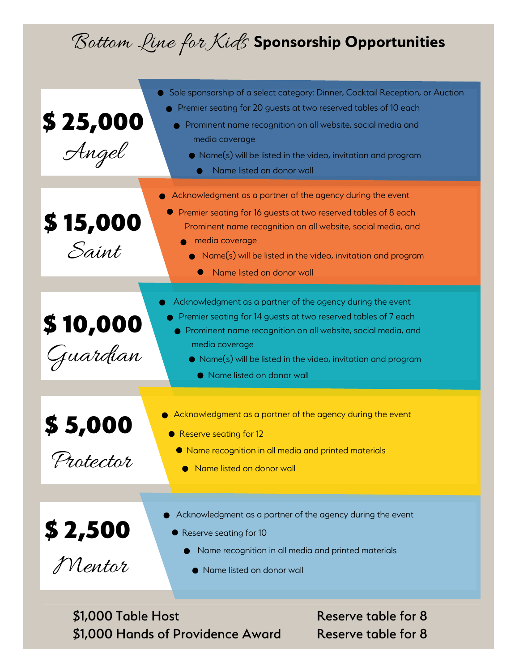## Bottom Line for Kids **Sponsorship Opportunities**

| $\boldsymbol{\frac{\$~25,000}{\mathcal{A}}\ \mathcal{A}}$ | Sole sponsorship of a select category: Dinner, Cocktail Reception, or Auction<br>Premier seating for 20 guests at two reserved tables of 10 each<br>• Prominent name recognition on all website, social media and<br>media coverage<br>● Name(s) will be listed in the video, invitation and program<br>Name listed on donor wall |
|-----------------------------------------------------------|-----------------------------------------------------------------------------------------------------------------------------------------------------------------------------------------------------------------------------------------------------------------------------------------------------------------------------------|
| $$15,000$<br>Saint                                        | Acknowledgment as a partner of the agency during the event<br>Premier seating for 16 guests at two reserved tables of 8 each<br>Prominent name recognition on all website, social media, and<br>media coverage<br>• Name(s) will be listed in the video, invitation and program<br>Name listed on donor wall                      |
| \$10,000<br>-<br>Juardian                                 | Acknowledgment as a partner of the agency during the event<br>Premier seating for 14 guests at two reserved tables of 7 each<br>Prominent name recognition on all website, social media, and<br>media coverage<br>• Name(s) will be listed in the video, invitation and program<br>• Name listed on donor wall                    |
| \$5,000<br>Protector                                      | Acknowledgment as a partner of the agency during the event<br>● Reserve seating for 12<br>● Name recognition in all media and printed materials<br>Name listed on donor wall                                                                                                                                                      |
| $$2,500$<br>Mentor                                        | Acknowledgment as a partner of the agency during the event<br>● Reserve seating for 10<br>Name recognition in all media and printed materials<br>Name listed on donor wall                                                                                                                                                        |
| \$1,000 Table Host                                        | Reserve table for 8                                                                                                                                                                                                                                                                                                               |

\$1,000 Hands of Providence Award Reserve table for 8